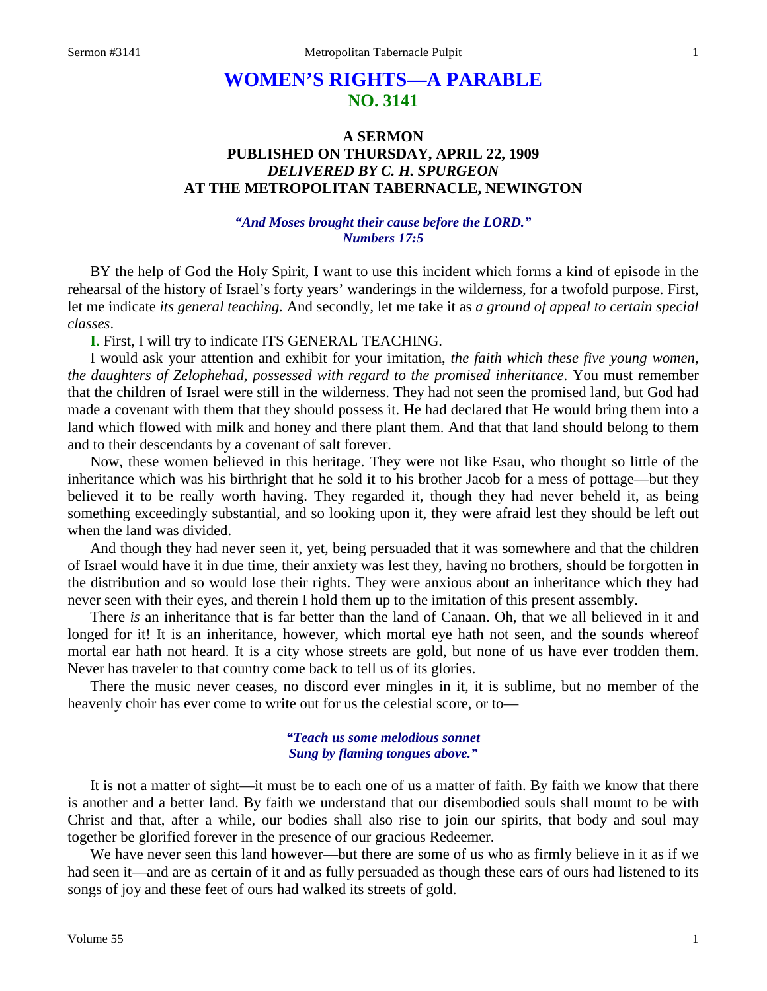# **WOMEN'S RIGHTS—A PARABLE NO. 3141**

# **A SERMON PUBLISHED ON THURSDAY, APRIL 22, 1909** *DELIVERED BY C. H. SPURGEON* **AT THE METROPOLITAN TABERNACLE, NEWINGTON**

## *"And Moses brought their cause before the LORD." Numbers 17:5*

BY the help of God the Holy Spirit, I want to use this incident which forms a kind of episode in the rehearsal of the history of Israel's forty years' wanderings in the wilderness, for a twofold purpose. First, let me indicate *its general teaching.* And secondly, let me take it as *a ground of appeal to certain special classes*.

**I.** First, I will try to indicate ITS GENERAL TEACHING.

I would ask your attention and exhibit for your imitation, *the faith which these five young women, the daughters of Zelophehad, possessed with regard to the promised inheritance*. You must remember that the children of Israel were still in the wilderness. They had not seen the promised land, but God had made a covenant with them that they should possess it. He had declared that He would bring them into a land which flowed with milk and honey and there plant them. And that that land should belong to them and to their descendants by a covenant of salt forever.

Now, these women believed in this heritage. They were not like Esau, who thought so little of the inheritance which was his birthright that he sold it to his brother Jacob for a mess of pottage—but they believed it to be really worth having. They regarded it, though they had never beheld it, as being something exceedingly substantial, and so looking upon it, they were afraid lest they should be left out when the land was divided.

And though they had never seen it, yet, being persuaded that it was somewhere and that the children of Israel would have it in due time, their anxiety was lest they, having no brothers, should be forgotten in the distribution and so would lose their rights. They were anxious about an inheritance which they had never seen with their eyes, and therein I hold them up to the imitation of this present assembly.

There *is* an inheritance that is far better than the land of Canaan. Oh, that we all believed in it and longed for it! It is an inheritance, however, which mortal eye hath not seen, and the sounds whereof mortal ear hath not heard. It is a city whose streets are gold, but none of us have ever trodden them. Never has traveler to that country come back to tell us of its glories.

There the music never ceases, no discord ever mingles in it, it is sublime, but no member of the heavenly choir has ever come to write out for us the celestial score, or to—

### *"Teach us some melodious sonnet Sung by flaming tongues above."*

It is not a matter of sight—it must be to each one of us a matter of faith. By faith we know that there is another and a better land. By faith we understand that our disembodied souls shall mount to be with Christ and that, after a while, our bodies shall also rise to join our spirits, that body and soul may together be glorified forever in the presence of our gracious Redeemer.

We have never seen this land however—but there are some of us who as firmly believe in it as if we had seen it—and are as certain of it and as fully persuaded as though these ears of ours had listened to its songs of joy and these feet of ours had walked its streets of gold.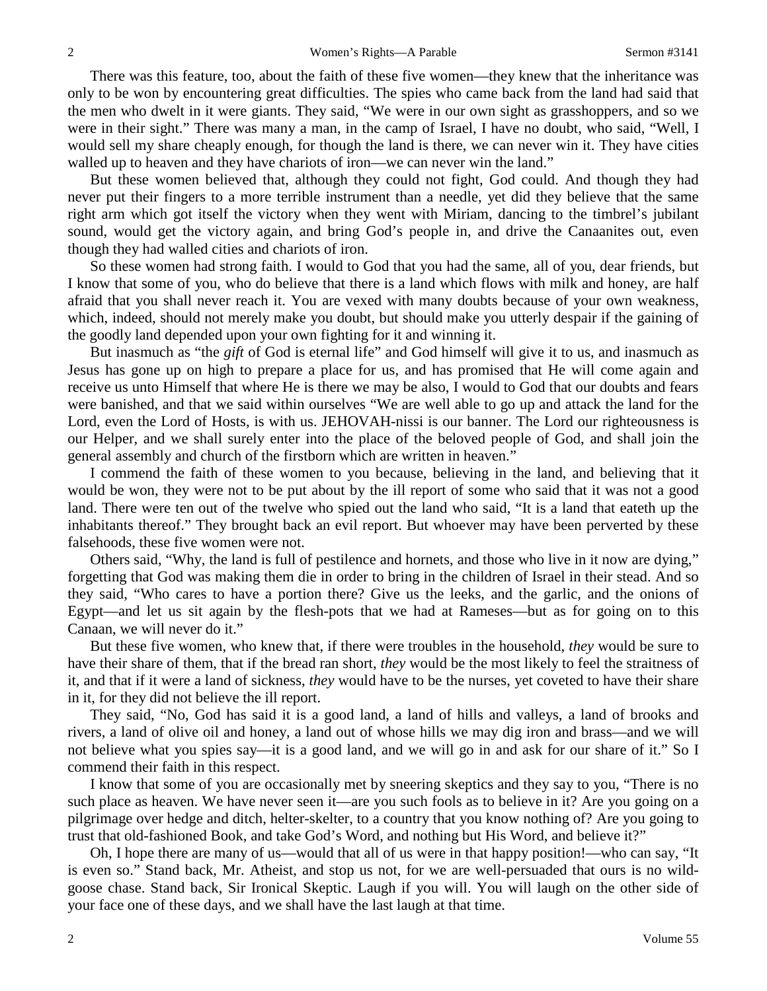There was this feature, too, about the faith of these five women—they knew that the inheritance was only to be won by encountering great difficulties. The spies who came back from the land had said that the men who dwelt in it were giants. They said, "We were in our own sight as grasshoppers, and so we were in their sight." There was many a man, in the camp of Israel, I have no doubt, who said, "Well, I would sell my share cheaply enough, for though the land is there, we can never win it. They have cities walled up to heaven and they have chariots of iron—we can never win the land."

But these women believed that, although they could not fight, God could. And though they had never put their fingers to a more terrible instrument than a needle, yet did they believe that the same right arm which got itself the victory when they went with Miriam, dancing to the timbrel's jubilant sound, would get the victory again, and bring God's people in, and drive the Canaanites out, even though they had walled cities and chariots of iron.

So these women had strong faith. I would to God that you had the same, all of you, dear friends, but I know that some of you, who do believe that there is a land which flows with milk and honey, are half afraid that you shall never reach it. You are vexed with many doubts because of your own weakness, which, indeed, should not merely make you doubt, but should make you utterly despair if the gaining of the goodly land depended upon your own fighting for it and winning it.

But inasmuch as "the *gift* of God is eternal life" and God himself will give it to us, and inasmuch as Jesus has gone up on high to prepare a place for us, and has promised that He will come again and receive us unto Himself that where He is there we may be also, I would to God that our doubts and fears were banished, and that we said within ourselves "We are well able to go up and attack the land for the Lord, even the Lord of Hosts, is with us. JEHOVAH-nissi is our banner. The Lord our righteousness is our Helper, and we shall surely enter into the place of the beloved people of God, and shall join the general assembly and church of the firstborn which are written in heaven."

I commend the faith of these women to you because, believing in the land, and believing that it would be won, they were not to be put about by the ill report of some who said that it was not a good land. There were ten out of the twelve who spied out the land who said, "It is a land that eateth up the inhabitants thereof." They brought back an evil report. But whoever may have been perverted by these falsehoods, these five women were not.

Others said, "Why, the land is full of pestilence and hornets, and those who live in it now are dying," forgetting that God was making them die in order to bring in the children of Israel in their stead. And so they said, "Who cares to have a portion there? Give us the leeks, and the garlic, and the onions of Egypt—and let us sit again by the flesh-pots that we had at Rameses—but as for going on to this Canaan, we will never do it."

But these five women, who knew that, if there were troubles in the household, *they* would be sure to have their share of them, that if the bread ran short, *they* would be the most likely to feel the straitness of it, and that if it were a land of sickness, *they* would have to be the nurses, yet coveted to have their share in it, for they did not believe the ill report.

They said, "No, God has said it is a good land, a land of hills and valleys, a land of brooks and rivers, a land of olive oil and honey, a land out of whose hills we may dig iron and brass—and we will not believe what you spies say—it is a good land, and we will go in and ask for our share of it." So I commend their faith in this respect.

I know that some of you are occasionally met by sneering skeptics and they say to you, "There is no such place as heaven. We have never seen it—are you such fools as to believe in it? Are you going on a pilgrimage over hedge and ditch, helter-skelter, to a country that you know nothing of? Are you going to trust that old-fashioned Book, and take God's Word, and nothing but His Word, and believe it?"

Oh, I hope there are many of us—would that all of us were in that happy position!—who can say, "It is even so." Stand back, Mr. Atheist, and stop us not, for we are well-persuaded that ours is no wildgoose chase. Stand back, Sir Ironical Skeptic. Laugh if you will. You will laugh on the other side of your face one of these days, and we shall have the last laugh at that time.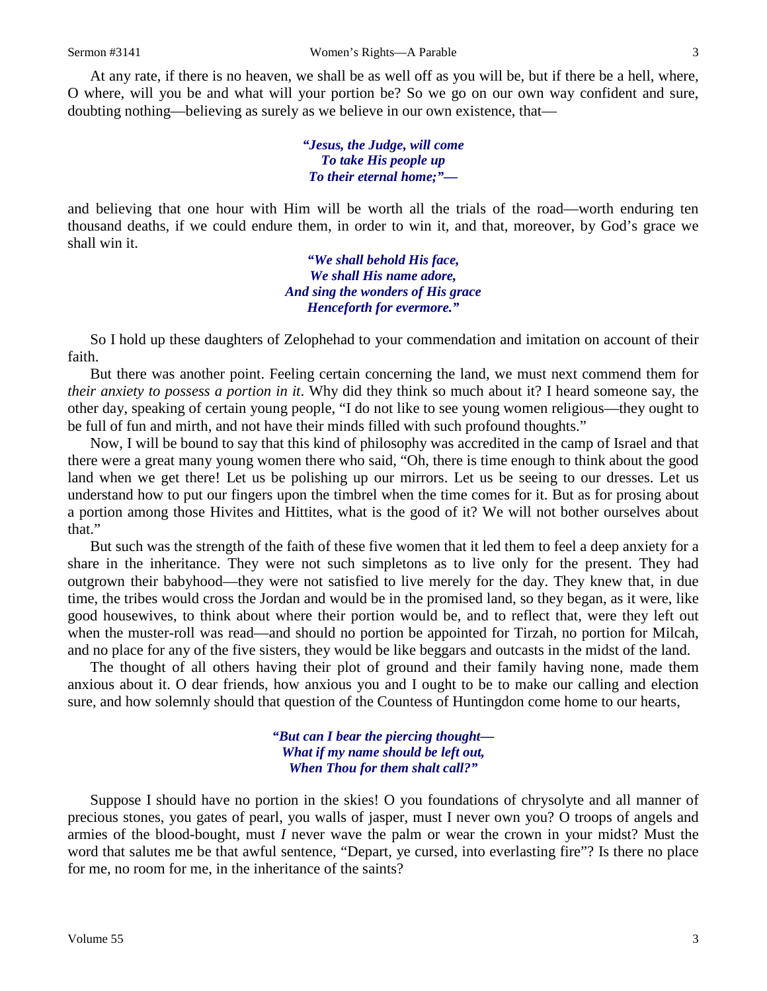At any rate, if there is no heaven, we shall be as well off as you will be, but if there be a hell, where, O where, will you be and what will your portion be? So we go on our own way confident and sure, doubting nothing—believing as surely as we believe in our own existence, that—

> *"Jesus, the Judge, will come To take His people up To their eternal home;"—*

and believing that one hour with Him will be worth all the trials of the road—worth enduring ten thousand deaths, if we could endure them, in order to win it, and that, moreover, by God's grace we shall win it.

> *"We shall behold His face, We shall His name adore, And sing the wonders of His grace Henceforth for evermore."*

So I hold up these daughters of Zelophehad to your commendation and imitation on account of their faith.

But there was another point. Feeling certain concerning the land, we must next commend them for *their anxiety to possess a portion in it*. Why did they think so much about it? I heard someone say, the other day, speaking of certain young people, "I do not like to see young women religious—they ought to be full of fun and mirth, and not have their minds filled with such profound thoughts."

Now, I will be bound to say that this kind of philosophy was accredited in the camp of Israel and that there were a great many young women there who said, "Oh, there is time enough to think about the good land when we get there! Let us be polishing up our mirrors. Let us be seeing to our dresses. Let us understand how to put our fingers upon the timbrel when the time comes for it. But as for prosing about a portion among those Hivites and Hittites, what is the good of it? We will not bother ourselves about that."

But such was the strength of the faith of these five women that it led them to feel a deep anxiety for a share in the inheritance. They were not such simpletons as to live only for the present. They had outgrown their babyhood—they were not satisfied to live merely for the day. They knew that, in due time, the tribes would cross the Jordan and would be in the promised land, so they began, as it were, like good housewives, to think about where their portion would be, and to reflect that, were they left out when the muster-roll was read—and should no portion be appointed for Tirzah, no portion for Milcah, and no place for any of the five sisters, they would be like beggars and outcasts in the midst of the land.

The thought of all others having their plot of ground and their family having none, made them anxious about it. O dear friends, how anxious you and I ought to be to make our calling and election sure, and how solemnly should that question of the Countess of Huntingdon come home to our hearts,

> *"But can I bear the piercing thought— What if my name should be left out, When Thou for them shalt call?"*

Suppose I should have no portion in the skies! O you foundations of chrysolyte and all manner of precious stones, you gates of pearl, you walls of jasper, must I never own you? O troops of angels and armies of the blood-bought, must *I* never wave the palm or wear the crown in your midst? Must the word that salutes me be that awful sentence, "Depart, ye cursed, into everlasting fire"? Is there no place for me, no room for me, in the inheritance of the saints?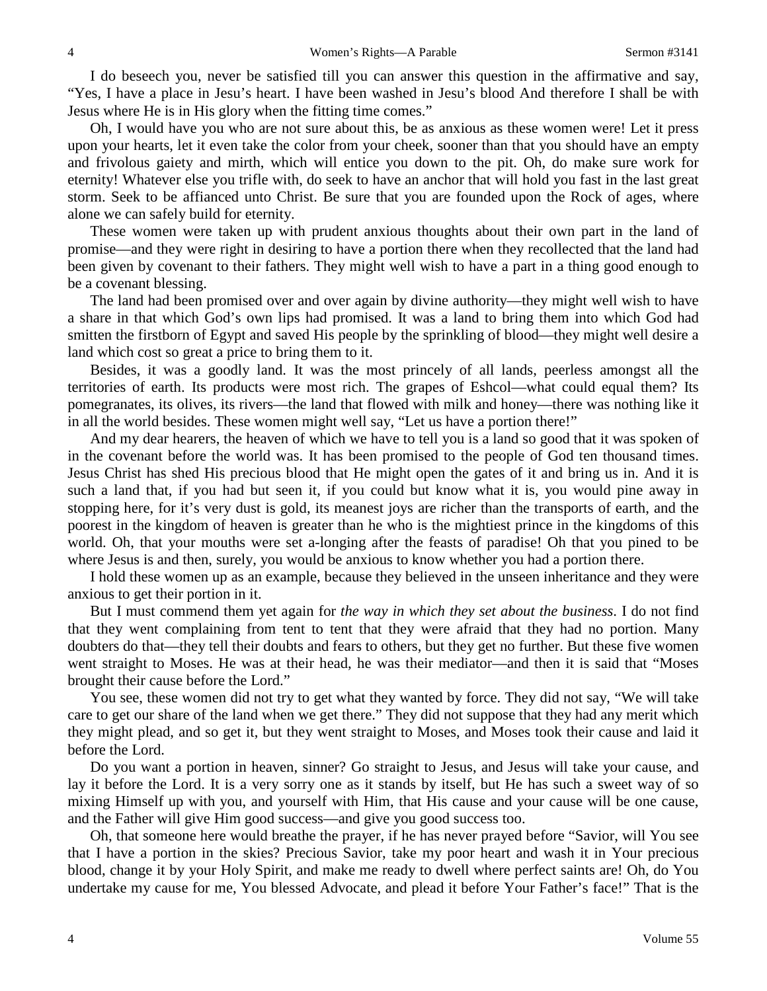I do beseech you, never be satisfied till you can answer this question in the affirmative and say, "Yes, I have a place in Jesu's heart. I have been washed in Jesu's blood And therefore I shall be with Jesus where He is in His glory when the fitting time comes."

Oh, I would have you who are not sure about this, be as anxious as these women were! Let it press upon your hearts, let it even take the color from your cheek, sooner than that you should have an empty and frivolous gaiety and mirth, which will entice you down to the pit. Oh, do make sure work for eternity! Whatever else you trifle with, do seek to have an anchor that will hold you fast in the last great storm. Seek to be affianced unto Christ. Be sure that you are founded upon the Rock of ages, where alone we can safely build for eternity.

These women were taken up with prudent anxious thoughts about their own part in the land of promise—and they were right in desiring to have a portion there when they recollected that the land had been given by covenant to their fathers. They might well wish to have a part in a thing good enough to be a covenant blessing.

The land had been promised over and over again by divine authority—they might well wish to have a share in that which God's own lips had promised. It was a land to bring them into which God had smitten the firstborn of Egypt and saved His people by the sprinkling of blood—they might well desire a land which cost so great a price to bring them to it.

Besides, it was a goodly land. It was the most princely of all lands, peerless amongst all the territories of earth. Its products were most rich. The grapes of Eshcol—what could equal them? Its pomegranates, its olives, its rivers—the land that flowed with milk and honey—there was nothing like it in all the world besides. These women might well say, "Let us have a portion there!"

And my dear hearers, the heaven of which we have to tell you is a land so good that it was spoken of in the covenant before the world was. It has been promised to the people of God ten thousand times. Jesus Christ has shed His precious blood that He might open the gates of it and bring us in. And it is such a land that, if you had but seen it, if you could but know what it is, you would pine away in stopping here, for it's very dust is gold, its meanest joys are richer than the transports of earth, and the poorest in the kingdom of heaven is greater than he who is the mightiest prince in the kingdoms of this world. Oh, that your mouths were set a-longing after the feasts of paradise! Oh that you pined to be where Jesus is and then, surely, you would be anxious to know whether you had a portion there.

I hold these women up as an example, because they believed in the unseen inheritance and they were anxious to get their portion in it.

But I must commend them yet again for *the way in which they set about the business*. I do not find that they went complaining from tent to tent that they were afraid that they had no portion. Many doubters do that—they tell their doubts and fears to others, but they get no further. But these five women went straight to Moses. He was at their head, he was their mediator—and then it is said that "Moses brought their cause before the Lord."

You see, these women did not try to get what they wanted by force. They did not say, "We will take care to get our share of the land when we get there." They did not suppose that they had any merit which they might plead, and so get it, but they went straight to Moses, and Moses took their cause and laid it before the Lord.

Do you want a portion in heaven, sinner? Go straight to Jesus, and Jesus will take your cause, and lay it before the Lord. It is a very sorry one as it stands by itself, but He has such a sweet way of so mixing Himself up with you, and yourself with Him, that His cause and your cause will be one cause, and the Father will give Him good success—and give you good success too.

Oh, that someone here would breathe the prayer, if he has never prayed before "Savior, will You see that I have a portion in the skies? Precious Savior, take my poor heart and wash it in Your precious blood, change it by your Holy Spirit, and make me ready to dwell where perfect saints are! Oh, do You undertake my cause for me, You blessed Advocate, and plead it before Your Father's face!" That is the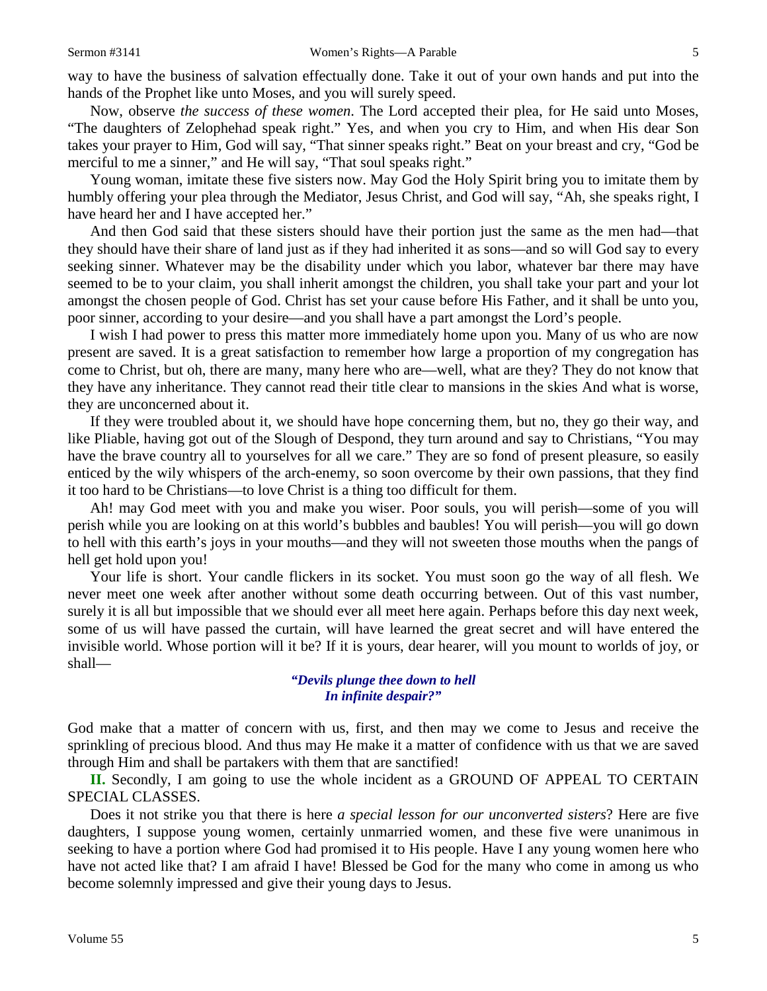way to have the business of salvation effectually done. Take it out of your own hands and put into the hands of the Prophet like unto Moses, and you will surely speed.

Now, observe *the success of these women*. The Lord accepted their plea, for He said unto Moses, "The daughters of Zelophehad speak right." Yes, and when you cry to Him, and when His dear Son takes your prayer to Him, God will say, "That sinner speaks right." Beat on your breast and cry, "God be merciful to me a sinner," and He will say, "That soul speaks right."

Young woman, imitate these five sisters now. May God the Holy Spirit bring you to imitate them by humbly offering your plea through the Mediator, Jesus Christ, and God will say, "Ah, she speaks right, I have heard her and I have accepted her."

And then God said that these sisters should have their portion just the same as the men had—that they should have their share of land just as if they had inherited it as sons—and so will God say to every seeking sinner. Whatever may be the disability under which you labor, whatever bar there may have seemed to be to your claim, you shall inherit amongst the children, you shall take your part and your lot amongst the chosen people of God. Christ has set your cause before His Father, and it shall be unto you, poor sinner, according to your desire—and you shall have a part amongst the Lord's people.

I wish I had power to press this matter more immediately home upon you. Many of us who are now present are saved. It is a great satisfaction to remember how large a proportion of my congregation has come to Christ, but oh, there are many, many here who are—well, what are they? They do not know that they have any inheritance. They cannot read their title clear to mansions in the skies And what is worse, they are unconcerned about it.

If they were troubled about it, we should have hope concerning them, but no, they go their way, and like Pliable, having got out of the Slough of Despond, they turn around and say to Christians, "You may have the brave country all to yourselves for all we care." They are so fond of present pleasure, so easily enticed by the wily whispers of the arch-enemy, so soon overcome by their own passions, that they find it too hard to be Christians—to love Christ is a thing too difficult for them.

Ah! may God meet with you and make you wiser. Poor souls, you will perish—some of you will perish while you are looking on at this world's bubbles and baubles! You will perish—you will go down to hell with this earth's joys in your mouths—and they will not sweeten those mouths when the pangs of hell get hold upon you!

Your life is short. Your candle flickers in its socket. You must soon go the way of all flesh. We never meet one week after another without some death occurring between. Out of this vast number, surely it is all but impossible that we should ever all meet here again. Perhaps before this day next week, some of us will have passed the curtain, will have learned the great secret and will have entered the invisible world. Whose portion will it be? If it is yours, dear hearer, will you mount to worlds of joy, or shall—

#### *"Devils plunge thee down to hell In infinite despair?"*

God make that a matter of concern with us, first, and then may we come to Jesus and receive the sprinkling of precious blood. And thus may He make it a matter of confidence with us that we are saved through Him and shall be partakers with them that are sanctified!

**II.** Secondly, I am going to use the whole incident as a GROUND OF APPEAL TO CERTAIN SPECIAL CLASSES.

Does it not strike you that there is here *a special lesson for our unconverted sisters*? Here are five daughters, I suppose young women, certainly unmarried women, and these five were unanimous in seeking to have a portion where God had promised it to His people. Have I any young women here who have not acted like that? I am afraid I have! Blessed be God for the many who come in among us who become solemnly impressed and give their young days to Jesus.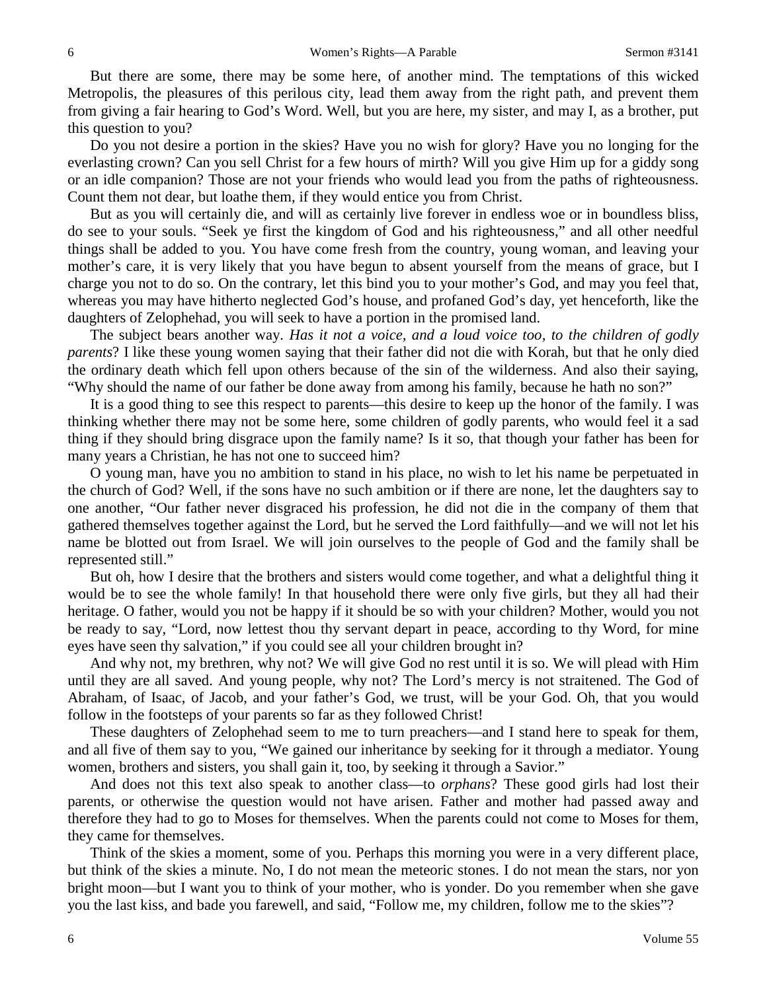But there are some, there may be some here, of another mind. The temptations of this wicked Metropolis, the pleasures of this perilous city, lead them away from the right path, and prevent them from giving a fair hearing to God's Word. Well, but you are here, my sister, and may I, as a brother, put this question to you?

Do you not desire a portion in the skies? Have you no wish for glory? Have you no longing for the everlasting crown? Can you sell Christ for a few hours of mirth? Will you give Him up for a giddy song or an idle companion? Those are not your friends who would lead you from the paths of righteousness. Count them not dear, but loathe them, if they would entice you from Christ.

But as you will certainly die, and will as certainly live forever in endless woe or in boundless bliss, do see to your souls. "Seek ye first the kingdom of God and his righteousness," and all other needful things shall be added to you. You have come fresh from the country, young woman, and leaving your mother's care, it is very likely that you have begun to absent yourself from the means of grace, but I charge you not to do so. On the contrary, let this bind you to your mother's God, and may you feel that, whereas you may have hitherto neglected God's house, and profaned God's day, yet henceforth, like the daughters of Zelophehad, you will seek to have a portion in the promised land.

The subject bears another way. *Has it not a voice, and a loud voice too, to the children of godly parents*? I like these young women saying that their father did not die with Korah, but that he only died the ordinary death which fell upon others because of the sin of the wilderness. And also their saying, "Why should the name of our father be done away from among his family, because he hath no son?"

It is a good thing to see this respect to parents—this desire to keep up the honor of the family. I was thinking whether there may not be some here, some children of godly parents, who would feel it a sad thing if they should bring disgrace upon the family name? Is it so, that though your father has been for many years a Christian, he has not one to succeed him?

O young man, have you no ambition to stand in his place, no wish to let his name be perpetuated in the church of God? Well, if the sons have no such ambition or if there are none, let the daughters say to one another, "Our father never disgraced his profession, he did not die in the company of them that gathered themselves together against the Lord, but he served the Lord faithfully—and we will not let his name be blotted out from Israel. We will join ourselves to the people of God and the family shall be represented still."

But oh, how I desire that the brothers and sisters would come together, and what a delightful thing it would be to see the whole family! In that household there were only five girls, but they all had their heritage. O father, would you not be happy if it should be so with your children? Mother, would you not be ready to say, "Lord, now lettest thou thy servant depart in peace, according to thy Word, for mine eyes have seen thy salvation," if you could see all your children brought in?

And why not, my brethren, why not? We will give God no rest until it is so. We will plead with Him until they are all saved. And young people, why not? The Lord's mercy is not straitened. The God of Abraham, of Isaac, of Jacob, and your father's God, we trust, will be your God. Oh, that you would follow in the footsteps of your parents so far as they followed Christ!

These daughters of Zelophehad seem to me to turn preachers—and I stand here to speak for them, and all five of them say to you, "We gained our inheritance by seeking for it through a mediator. Young women, brothers and sisters, you shall gain it, too, by seeking it through a Savior."

And does not this text also speak to another class—to *orphans*? These good girls had lost their parents, or otherwise the question would not have arisen. Father and mother had passed away and therefore they had to go to Moses for themselves. When the parents could not come to Moses for them, they came for themselves.

Think of the skies a moment, some of you. Perhaps this morning you were in a very different place, but think of the skies a minute. No, I do not mean the meteoric stones. I do not mean the stars, nor yon bright moon—but I want you to think of your mother, who is yonder. Do you remember when she gave you the last kiss, and bade you farewell, and said, "Follow me, my children, follow me to the skies"?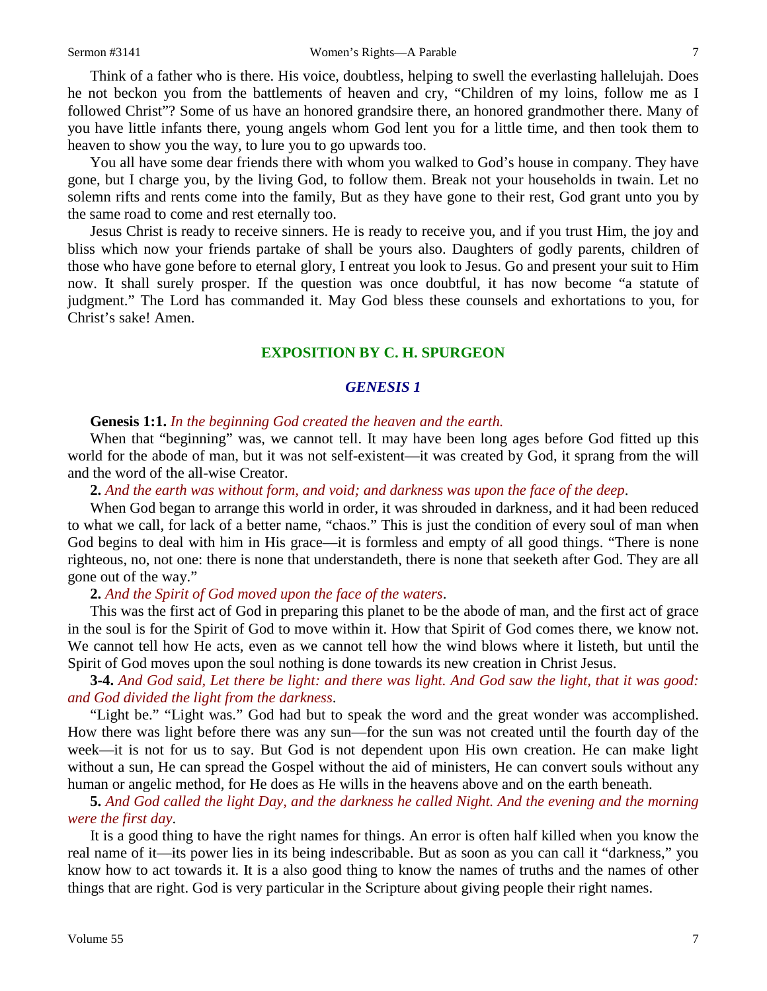Think of a father who is there. His voice, doubtless, helping to swell the everlasting hallelujah. Does he not beckon you from the battlements of heaven and cry, "Children of my loins, follow me as I followed Christ"? Some of us have an honored grandsire there, an honored grandmother there. Many of you have little infants there, young angels whom God lent you for a little time, and then took them to heaven to show you the way, to lure you to go upwards too.

You all have some dear friends there with whom you walked to God's house in company. They have gone, but I charge you, by the living God, to follow them. Break not your households in twain. Let no solemn rifts and rents come into the family, But as they have gone to their rest, God grant unto you by the same road to come and rest eternally too.

Jesus Christ is ready to receive sinners. He is ready to receive you, and if you trust Him, the joy and bliss which now your friends partake of shall be yours also. Daughters of godly parents, children of those who have gone before to eternal glory, I entreat you look to Jesus. Go and present your suit to Him now. It shall surely prosper. If the question was once doubtful, it has now become "a statute of judgment." The Lord has commanded it. May God bless these counsels and exhortations to you, for Christ's sake! Amen.

# **EXPOSITION BY C. H. SPURGEON**

#### *GENESIS 1*

#### **Genesis 1:1.** *In the beginning God created the heaven and the earth.*

When that "beginning" was, we cannot tell. It may have been long ages before God fitted up this world for the abode of man, but it was not self-existent—it was created by God, it sprang from the will and the word of the all-wise Creator.

#### **2.** *And the earth was without form, and void; and darkness was upon the face of the deep*.

When God began to arrange this world in order, it was shrouded in darkness, and it had been reduced to what we call, for lack of a better name, "chaos." This is just the condition of every soul of man when God begins to deal with him in His grace—it is formless and empty of all good things. "There is none righteous, no, not one: there is none that understandeth, there is none that seeketh after God. They are all gone out of the way."

#### **2.** *And the Spirit of God moved upon the face of the waters*.

This was the first act of God in preparing this planet to be the abode of man, and the first act of grace in the soul is for the Spirit of God to move within it. How that Spirit of God comes there, we know not. We cannot tell how He acts, even as we cannot tell how the wind blows where it listeth, but until the Spirit of God moves upon the soul nothing is done towards its new creation in Christ Jesus.

**3-4.** *And God said, Let there be light: and there was light. And God saw the light, that it was good: and God divided the light from the darkness*.

"Light be." "Light was." God had but to speak the word and the great wonder was accomplished. How there was light before there was any sun—for the sun was not created until the fourth day of the week—it is not for us to say. But God is not dependent upon His own creation. He can make light without a sun, He can spread the Gospel without the aid of ministers, He can convert souls without any human or angelic method, for He does as He wills in the heavens above and on the earth beneath.

**5.** *And God called the light Day, and the darkness he called Night. And the evening and the morning were the first day*.

It is a good thing to have the right names for things. An error is often half killed when you know the real name of it—its power lies in its being indescribable. But as soon as you can call it "darkness," you know how to act towards it. It is a also good thing to know the names of truths and the names of other things that are right. God is very particular in the Scripture about giving people their right names.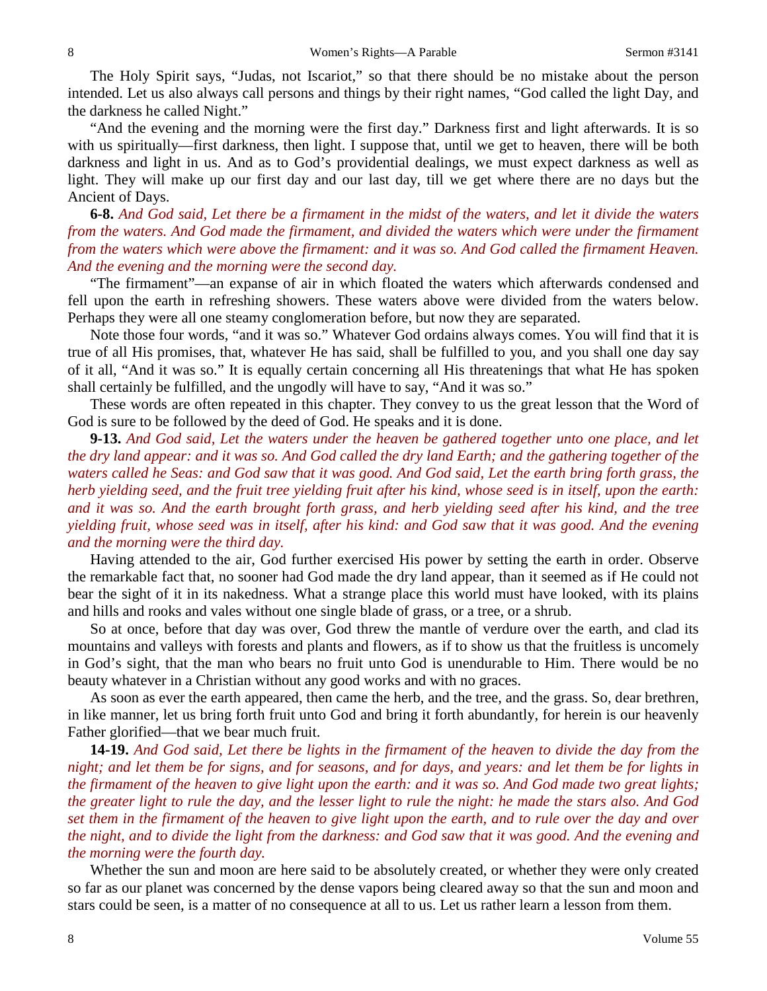The Holy Spirit says, "Judas, not Iscariot," so that there should be no mistake about the person intended. Let us also always call persons and things by their right names, "God called the light Day, and the darkness he called Night."

"And the evening and the morning were the first day." Darkness first and light afterwards. It is so with us spiritually—first darkness, then light. I suppose that, until we get to heaven, there will be both darkness and light in us. And as to God's providential dealings, we must expect darkness as well as light. They will make up our first day and our last day, till we get where there are no days but the Ancient of Days.

**6-8.** *And God said, Let there be a firmament in the midst of the waters, and let it divide the waters from the waters. And God made the firmament, and divided the waters which were under the firmament from the waters which were above the firmament: and it was so. And God called the firmament Heaven. And the evening and the morning were the second day.*

"The firmament"—an expanse of air in which floated the waters which afterwards condensed and fell upon the earth in refreshing showers. These waters above were divided from the waters below. Perhaps they were all one steamy conglomeration before, but now they are separated.

Note those four words, "and it was so." Whatever God ordains always comes. You will find that it is true of all His promises, that, whatever He has said, shall be fulfilled to you, and you shall one day say of it all, "And it was so." It is equally certain concerning all His threatenings that what He has spoken shall certainly be fulfilled, and the ungodly will have to say, "And it was so."

These words are often repeated in this chapter. They convey to us the great lesson that the Word of God is sure to be followed by the deed of God. He speaks and it is done.

**9-13.** *And God said, Let the waters under the heaven be gathered together unto one place, and let the dry land appear: and it was so. And God called the dry land Earth; and the gathering together of the waters called he Seas: and God saw that it was good. And God said, Let the earth bring forth grass, the herb yielding seed, and the fruit tree yielding fruit after his kind, whose seed is in itself, upon the earth: and it was so. And the earth brought forth grass, and herb yielding seed after his kind, and the tree yielding fruit, whose seed was in itself, after his kind: and God saw that it was good. And the evening and the morning were the third day.*

Having attended to the air, God further exercised His power by setting the earth in order. Observe the remarkable fact that, no sooner had God made the dry land appear, than it seemed as if He could not bear the sight of it in its nakedness. What a strange place this world must have looked, with its plains and hills and rooks and vales without one single blade of grass, or a tree, or a shrub.

So at once, before that day was over, God threw the mantle of verdure over the earth, and clad its mountains and valleys with forests and plants and flowers, as if to show us that the fruitless is uncomely in God's sight, that the man who bears no fruit unto God is unendurable to Him. There would be no beauty whatever in a Christian without any good works and with no graces.

As soon as ever the earth appeared, then came the herb, and the tree, and the grass. So, dear brethren, in like manner, let us bring forth fruit unto God and bring it forth abundantly, for herein is our heavenly Father glorified—that we bear much fruit.

**14-19.** *And God said, Let there be lights in the firmament of the heaven to divide the day from the night; and let them be for signs, and for seasons, and for days, and years: and let them be for lights in the firmament of the heaven to give light upon the earth: and it was so. And God made two great lights; the greater light to rule the day, and the lesser light to rule the night: he made the stars also. And God set them in the firmament of the heaven to give light upon the earth, and to rule over the day and over the night, and to divide the light from the darkness: and God saw that it was good. And the evening and the morning were the fourth day.*

Whether the sun and moon are here said to be absolutely created, or whether they were only created so far as our planet was concerned by the dense vapors being cleared away so that the sun and moon and stars could be seen, is a matter of no consequence at all to us. Let us rather learn a lesson from them.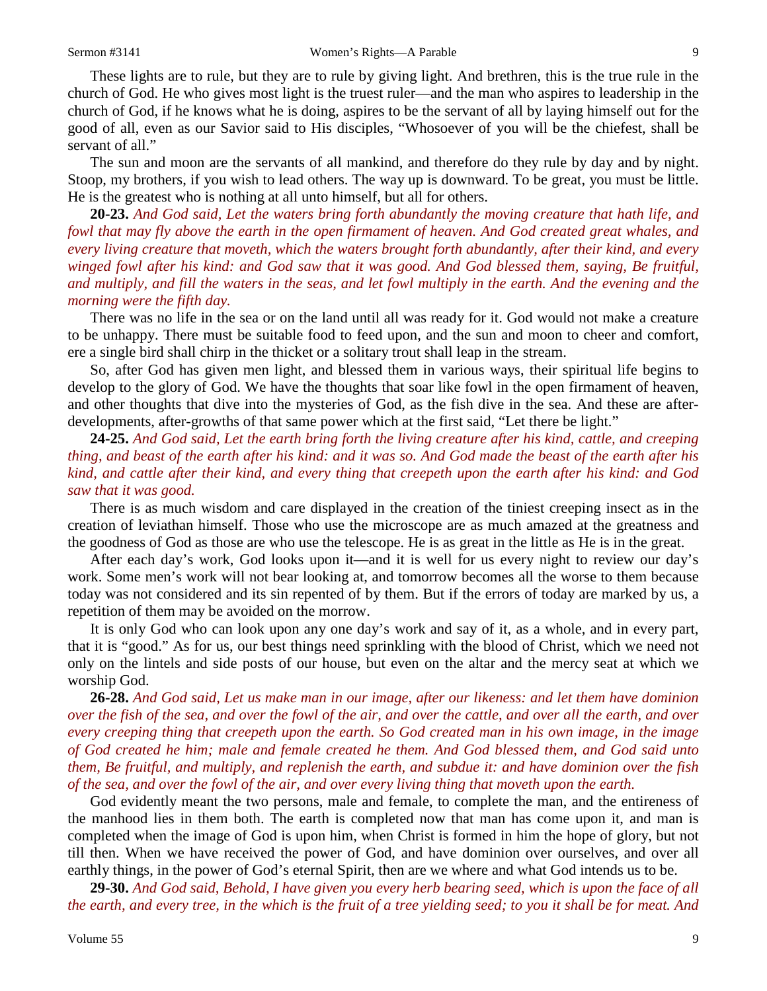These lights are to rule, but they are to rule by giving light. And brethren, this is the true rule in the church of God. He who gives most light is the truest ruler—and the man who aspires to leadership in the church of God, if he knows what he is doing, aspires to be the servant of all by laying himself out for the good of all, even as our Savior said to His disciples, "Whosoever of you will be the chiefest, shall be servant of all."

The sun and moon are the servants of all mankind, and therefore do they rule by day and by night. Stoop, my brothers, if you wish to lead others. The way up is downward. To be great, you must be little. He is the greatest who is nothing at all unto himself, but all for others.

**20-23.** *And God said, Let the waters bring forth abundantly the moving creature that hath life, and fowl that may fly above the earth in the open firmament of heaven. And God created great whales, and every living creature that moveth, which the waters brought forth abundantly, after their kind, and every winged fowl after his kind: and God saw that it was good. And God blessed them, saying, Be fruitful, and multiply, and fill the waters in the seas, and let fowl multiply in the earth. And the evening and the morning were the fifth day.*

There was no life in the sea or on the land until all was ready for it. God would not make a creature to be unhappy. There must be suitable food to feed upon, and the sun and moon to cheer and comfort, ere a single bird shall chirp in the thicket or a solitary trout shall leap in the stream.

So, after God has given men light, and blessed them in various ways, their spiritual life begins to develop to the glory of God. We have the thoughts that soar like fowl in the open firmament of heaven, and other thoughts that dive into the mysteries of God, as the fish dive in the sea. And these are afterdevelopments, after-growths of that same power which at the first said, "Let there be light."

**24-25.** *And God said, Let the earth bring forth the living creature after his kind, cattle, and creeping thing, and beast of the earth after his kind: and it was so. And God made the beast of the earth after his kind, and cattle after their kind, and every thing that creepeth upon the earth after his kind: and God saw that it was good.*

There is as much wisdom and care displayed in the creation of the tiniest creeping insect as in the creation of leviathan himself. Those who use the microscope are as much amazed at the greatness and the goodness of God as those are who use the telescope. He is as great in the little as He is in the great.

After each day's work, God looks upon it—and it is well for us every night to review our day's work. Some men's work will not bear looking at, and tomorrow becomes all the worse to them because today was not considered and its sin repented of by them. But if the errors of today are marked by us, a repetition of them may be avoided on the morrow.

It is only God who can look upon any one day's work and say of it, as a whole, and in every part, that it is "good." As for us, our best things need sprinkling with the blood of Christ, which we need not only on the lintels and side posts of our house, but even on the altar and the mercy seat at which we worship God.

**26-28.** *And God said, Let us make man in our image, after our likeness: and let them have dominion over the fish of the sea, and over the fowl of the air, and over the cattle, and over all the earth, and over every creeping thing that creepeth upon the earth. So God created man in his own image, in the image of God created he him; male and female created he them. And God blessed them, and God said unto them, Be fruitful, and multiply, and replenish the earth, and subdue it: and have dominion over the fish of the sea, and over the fowl of the air, and over every living thing that moveth upon the earth.*

God evidently meant the two persons, male and female, to complete the man, and the entireness of the manhood lies in them both. The earth is completed now that man has come upon it, and man is completed when the image of God is upon him, when Christ is formed in him the hope of glory, but not till then. When we have received the power of God, and have dominion over ourselves, and over all earthly things, in the power of God's eternal Spirit, then are we where and what God intends us to be.

**29-30.** *And God said, Behold, I have given you every herb bearing seed, which is upon the face of all the earth, and every tree, in the which is the fruit of a tree yielding seed; to you it shall be for meat. And*